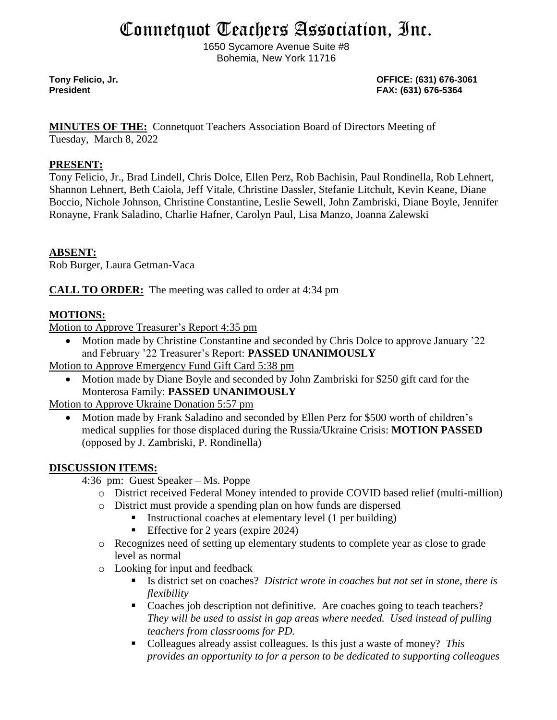# Connetquot Teachers Association, Inc.

1650 Sycamore Avenue Suite #8 Bohemia, New York 11716

**Tony Felicio, Jr. OFFICE: (631) 676-3061 President FAX: (631) 676-5364**

**MINUTES OF THE:** Connetquot Teachers Association Board of Directors Meeting of

Tuesday, March 8, 2022

### **PRESENT:**

Tony Felicio, Jr., Brad Lindell, Chris Dolce, Ellen Perz, Rob Bachisin, Paul Rondinella, Rob Lehnert, Shannon Lehnert, Beth Caiola, Jeff Vitale, Christine Dassler, Stefanie Litchult, Kevin Keane, Diane Boccio, Nichole Johnson, Christine Constantine, Leslie Sewell, John Zambriski, Diane Boyle, Jennifer Ronayne, Frank Saladino, Charlie Hafner, Carolyn Paul, Lisa Manzo, Joanna Zalewski

## **ABSENT:**

Rob Burger, Laura Getman-Vaca

**CALL TO ORDER:** The meeting was called to order at 4:34 pm

## **MOTIONS:**

Motion to Approve Treasurer's Report 4:35 pm

• Motion made by Christine Constantine and seconded by Chris Dolce to approve January '22 and February '22 Treasurer's Report: **PASSED UNANIMOUSLY**

Motion to Approve Emergency Fund Gift Card 5:38 pm

• Motion made by Diane Boyle and seconded by John Zambriski for \$250 gift card for the Monterosa Family: **PASSED UNANIMOUSLY**

Motion to Approve Ukraine Donation 5:57 pm

• Motion made by Frank Saladino and seconded by Ellen Perz for \$500 worth of children's medical supplies for those displaced during the Russia/Ukraine Crisis: **MOTION PASSED**  (opposed by J. Zambriski, P. Rondinella)

## **DISCUSSION ITEMS:**

4:36 pm: Guest Speaker – Ms. Poppe

- o District received Federal Money intended to provide COVID based relief (multi-million)
- o District must provide a spending plan on how funds are dispersed
	- Instructional coaches at elementary level (1 per building)
	- **Effective for 2 years (expire 2024)**
- o Recognizes need of setting up elementary students to complete year as close to grade level as normal
- o Looking for input and feedback
	- Is district set on coaches? *District wrote in coaches but not set in stone, there is flexibility*
	- Coaches job description not definitive. Are coaches going to teach teachers? *They will be used to assist in gap areas where needed. Used instead of pulling teachers from classrooms for PD.*
	- Colleagues already assist colleagues. Is this just a waste of money? This *provides an opportunity to for a person to be dedicated to supporting colleagues*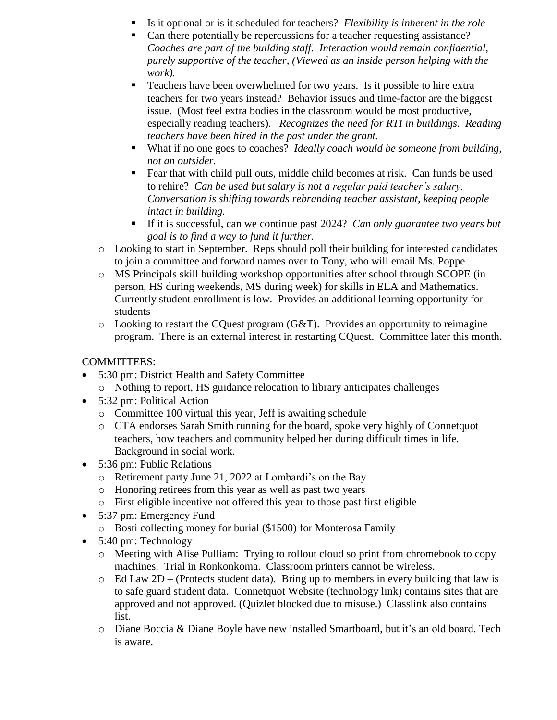- Is it optional or is it scheduled for teachers? *Flexibility is inherent in the role*
- Can there potentially be repercussions for a teacher requesting assistance? *Coaches are part of the building staff. Interaction would remain confidential, purely supportive of the teacher, (Viewed as an inside person helping with the work).*
- Teachers have been overwhelmed for two years. Is it possible to hire extra teachers for two years instead? Behavior issues and time-factor are the biggest issue. (Most feel extra bodies in the classroom would be most productive, especially reading teachers). *Recognizes the need for RTI in buildings. Reading teachers have been hired in the past under the grant.*
- What if no one goes to coaches? *Ideally coach would be someone from building*, *not an outsider.*
- Fear that with child pull outs, middle child becomes at risk. Can funds be used to rehire? *Can be used but salary is not a regular paid teacher's salary. Conversation is shifting towards rebranding teacher assistant, keeping people intact in building.*
- If it is successful, can we continue past 2024? *Can only guarantee two years but goal is to find a way to fund it further.*
- o Looking to start in September. Reps should poll their building for interested candidates to join a committee and forward names over to Tony, who will email Ms. Poppe
- o MS Principals skill building workshop opportunities after school through SCOPE (in person, HS during weekends, MS during week) for skills in ELA and Mathematics. Currently student enrollment is low. Provides an additional learning opportunity for students
- $\circ$  Looking to restart the CQuest program (G&T). Provides an opportunity to reimagine program. There is an external interest in restarting CQuest. Committee later this month.

## COMMITTEES:

- 5:30 pm: District Health and Safety Committee
	- o Nothing to report, HS guidance relocation to library anticipates challenges
- 5:32 pm: Political Action
	- o Committee 100 virtual this year, Jeff is awaiting schedule
	- o CTA endorses Sarah Smith running for the board, spoke very highly of Connetquot teachers, how teachers and community helped her during difficult times in life. Background in social work.
- 5:36 pm: Public Relations
	- o Retirement party June 21, 2022 at Lombardi's on the Bay
	- o Honoring retirees from this year as well as past two years
	- o First eligible incentive not offered this year to those past first eligible
- 5:37 pm: Emergency Fund
	- o Bosti collecting money for burial (\$1500) for Monterosa Family
- 5:40 pm: Technology
	- o Meeting with Alise Pulliam: Trying to rollout cloud so print from chromebook to copy machines. Trial in Ronkonkoma. Classroom printers cannot be wireless.
	- $\circ$  Ed Law 2D (Protects student data). Bring up to members in every building that law is to safe guard student data. Connetquot Website (technology link) contains sites that are approved and not approved. (Quizlet blocked due to misuse.) Classlink also contains list.
	- o Diane Boccia & Diane Boyle have new installed Smartboard, but it's an old board. Tech is aware.